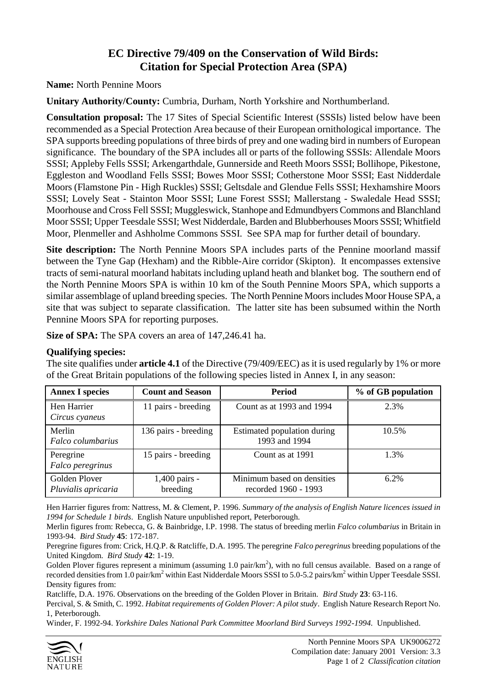## **EC Directive 79/409 on the Conservation of Wild Birds: Citation for Special Protection Area (SPA)**

**Name:** North Pennine Moors

**Unitary Authority/County:** Cumbria, Durham, North Yorkshire and Northumberland.

**Consultation proposal:** The 17 Sites of Special Scientific Interest (SSSIs) listed below have been recommended as a Special Protection Area because of their European ornithological importance. The SPA supports breeding populations of three birds of prey and one wading bird in numbers of European significance. The boundary of the SPA includes all or parts of the following SSSIs: Allendale Moors SSSI; Appleby Fells SSSI; Arkengarthdale, Gunnerside and Reeth Moors SSSI; Bollihope, Pikestone, Eggleston and Woodland Fells SSSI; Bowes Moor SSSI; Cotherstone Moor SSSI; East Nidderdale Moors (Flamstone Pin - High Ruckles) SSSI; Geltsdale and Glendue Fells SSSI; Hexhamshire Moors SSSI; Lovely Seat - Stainton Moor SSSI; Lune Forest SSSI; Mallerstang - Swaledale Head SSSI; Moorhouse and Cross Fell SSSI; Muggleswick, Stanhope and Edmundbyers Commons and Blanchland Moor SSSI; Upper Teesdale SSSI; West Nidderdale, Barden and Blubberhouses Moors SSSI; Whitfield Moor, Plenmeller and Ashholme Commons SSSI. See SPA map for further detail of boundary.

**Site description:** The North Pennine Moors SPA includes parts of the Pennine moorland massif between the Tyne Gap (Hexham) and the Ribble-Aire corridor (Skipton). It encompasses extensive tracts of semi-natural moorland habitats including upland heath and blanket bog. The southern end of the North Pennine Moors SPA is within 10 km of the South Pennine Moors SPA, which supports a similar assemblage of upland breeding species. The North Pennine Moors includes Moor House SPA, a site that was subject to separate classification. The latter site has been subsumed within the North Pennine Moors SPA for reporting purposes.

**Size of SPA:** The SPA covers an area of 147,246.41 ha.

## **Qualifying species:**

The site qualifies under **article 4.1** of the Directive (79/409/EEC) as it is used regularly by 1% or more of the Great Britain populations of the following species listed in Annex I, in any season:

| <b>Annex I species</b>               | <b>Count and Season</b>   | <b>Period</b>                                      | % of GB population |
|--------------------------------------|---------------------------|----------------------------------------------------|--------------------|
| Hen Harrier<br>Circus cyaneus        | 11 pairs - breeding       | Count as at 1993 and 1994                          | 2.3%               |
| Merlin<br>Falco columbarius          | 136 pairs - breeding      | Estimated population during<br>1993 and 1994       | 10.5%              |
| Peregrine<br>Falco peregrinus        | 15 pairs - breeding       | Count as at 1991                                   | 1.3%               |
| Golden Plover<br>Pluvialis apricaria | 1,400 pairs -<br>breeding | Minimum based on densities<br>recorded 1960 - 1993 | 6.2%               |

Hen Harrier figures from: Nattress, M. & Clement, P. 1996. *Summary of the analysis of English Nature licences issued in 1994 for Schedule 1 birds*. English Nature unpublished report, Peterborough.

Merlin figures from: Rebecca, G. & Bainbridge, I.P. 1998. The status of breeding merlin *Falco columbarius* in Britain in 1993-94. *Bird Study* **45**: 172-187.

Peregrine figures from: Crick, H.Q.P. & Ratcliffe, D.A. 1995. The peregrine *Falco peregrinus* breeding populations of the United Kingdom. *Bird Study* **42**: 1-19.

Golden Plover figures represent a minimum (assuming 1.0 pair/ $km^2$ ), with no full census available. Based on a range of recorded densities from 1.0 pair/km<sup>2</sup> within East Nidderdale Moors SSSI to 5.0-5.2 pairs/km<sup>2</sup> within Upper Teesdale SSSI. Density figures from:

Ratcliffe, D.A. 1976. Observations on the breeding of the Golden Plover in Britain. *Bird Study* **23**: 63-116.

Percival, S. & Smith, C. 1992. *Habitat requirements of Golden Plover: A pilot study*. English Nature Research Report No. 1, Peterborough.

Winder, F. 1992-94. *Yorkshire Dales National Park Committee Moorland Bird Surveys 1992-1994.* Unpublished.